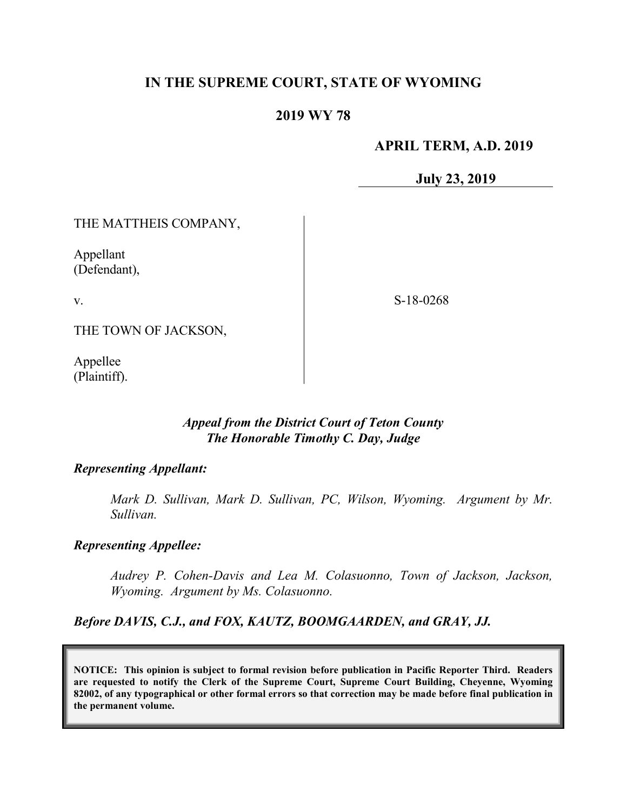# **IN THE SUPREME COURT, STATE OF WYOMING**

### **2019 WY 78**

### **APRIL TERM, A.D. 2019**

**July 23, 2019**

#### THE MATTHEIS COMPANY,

Appellant (Defendant),

v.

S-18-0268

THE TOWN OF JACKSON,

Appellee (Plaintiff).

### *Appeal from the District Court of Teton County The Honorable Timothy C. Day, Judge*

#### *Representing Appellant:*

*Mark D. Sullivan, Mark D. Sullivan, PC, Wilson, Wyoming. Argument by Mr. Sullivan.*

#### *Representing Appellee:*

*Audrey P. Cohen-Davis and Lea M. Colasuonno, Town of Jackson, Jackson, Wyoming. Argument by Ms. Colasuonno.*

*Before DAVIS, C.J., and FOX, KAUTZ, BOOMGAARDEN, and GRAY, JJ.*

**NOTICE: This opinion is subject to formal revision before publication in Pacific Reporter Third. Readers are requested to notify the Clerk of the Supreme Court, Supreme Court Building, Cheyenne, Wyoming 82002, of any typographical or other formal errors so that correction may be made before final publication in the permanent volume.**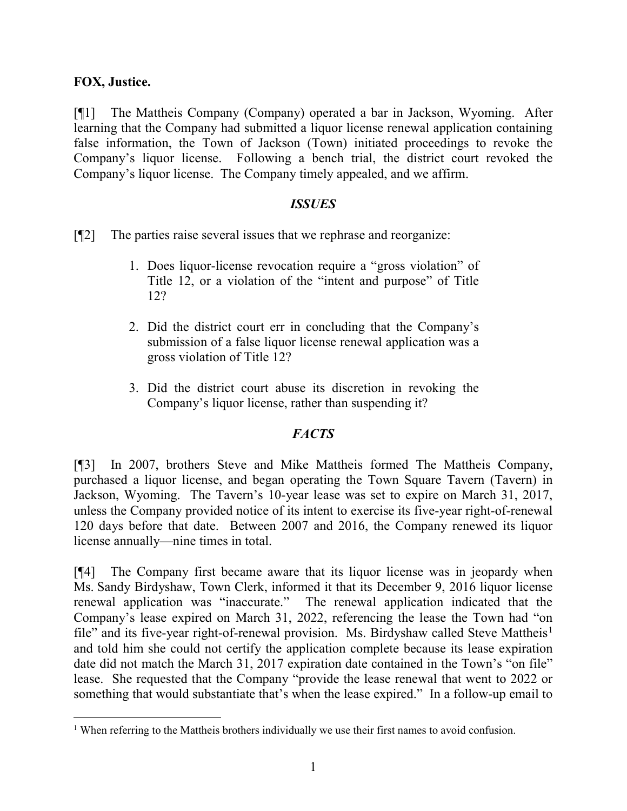## **FOX, Justice.**

[¶1] The Mattheis Company (Company) operated a bar in Jackson, Wyoming. After learning that the Company had submitted a liquor license renewal application containing false information, the Town of Jackson (Town) initiated proceedings to revoke the Company's liquor license. Following a bench trial, the district court revoked the Company's liquor license. The Company timely appealed, and we affirm.

## *ISSUES*

[¶2] The parties raise several issues that we rephrase and reorganize:

- 1. Does liquor-license revocation require a "gross violation" of Title 12, or a violation of the "intent and purpose" of Title 12?
- 2. Did the district court err in concluding that the Company's submission of a false liquor license renewal application was a gross violation of Title 12?
- 3. Did the district court abuse its discretion in revoking the Company's liquor license, rather than suspending it?

## *FACTS*

[¶3] In 2007, brothers Steve and Mike Mattheis formed The Mattheis Company, purchased a liquor license, and began operating the Town Square Tavern (Tavern) in Jackson, Wyoming. The Tavern's 10-year lease was set to expire on March 31, 2017, unless the Company provided notice of its intent to exercise its five-year right-of-renewal 120 days before that date. Between 2007 and 2016, the Company renewed its liquor license annually—nine times in total.

[¶4] The Company first became aware that its liquor license was in jeopardy when Ms. Sandy Birdyshaw, Town Clerk, informed it that its December 9, 2016 liquor license renewal application was "inaccurate." The renewal application indicated that the Company's lease expired on March 31, 2022, referencing the lease the Town had "on file" and its five-year right-of-renewal provision. Ms. Birdyshaw called Steve Mattheis<sup>[1](#page-1-0)</sup> and told him she could not certify the application complete because its lease expiration date did not match the March 31, 2017 expiration date contained in the Town's "on file" lease. She requested that the Company "provide the lease renewal that went to 2022 or something that would substantiate that's when the lease expired." In a follow-up email to

<span id="page-1-0"></span><sup>&</sup>lt;sup>1</sup> When referring to the Mattheis brothers individually we use their first names to avoid confusion.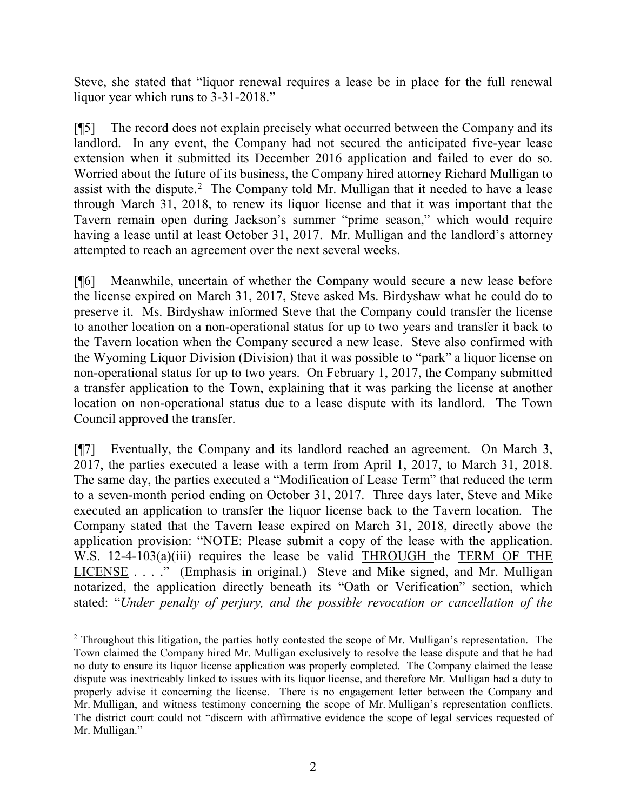Steve, she stated that "liquor renewal requires a lease be in place for the full renewal liquor year which runs to 3-31-2018."

[¶5] The record does not explain precisely what occurred between the Company and its landlord. In any event, the Company had not secured the anticipated five-year lease extension when it submitted its December 2016 application and failed to ever do so. Worried about the future of its business, the Company hired attorney Richard Mulligan to assist with the dispute.<sup>[2](#page-2-0)</sup> The Company told Mr. Mulligan that it needed to have a lease through March 31, 2018, to renew its liquor license and that it was important that the Tavern remain open during Jackson's summer "prime season," which would require having a lease until at least October 31, 2017. Mr. Mulligan and the landlord's attorney attempted to reach an agreement over the next several weeks.

[¶6] Meanwhile, uncertain of whether the Company would secure a new lease before the license expired on March 31, 2017, Steve asked Ms. Birdyshaw what he could do to preserve it. Ms. Birdyshaw informed Steve that the Company could transfer the license to another location on a non-operational status for up to two years and transfer it back to the Tavern location when the Company secured a new lease. Steve also confirmed with the Wyoming Liquor Division (Division) that it was possible to "park" a liquor license on non-operational status for up to two years. On February 1, 2017, the Company submitted a transfer application to the Town, explaining that it was parking the license at another location on non-operational status due to a lease dispute with its landlord. The Town Council approved the transfer.

[¶7] Eventually, the Company and its landlord reached an agreement. On March 3, 2017, the parties executed a lease with a term from April 1, 2017, to March 31, 2018. The same day, the parties executed a "Modification of Lease Term" that reduced the term to a seven-month period ending on October 31, 2017. Three days later, Steve and Mike executed an application to transfer the liquor license back to the Tavern location. The Company stated that the Tavern lease expired on March 31, 2018, directly above the application provision: "NOTE: Please submit a copy of the lease with the application. W.S. 12-4-103(a)(iii) requires the lease be valid THROUGH the TERM OF THE LICENSE . . . ." (Emphasis in original.) Steve and Mike signed, and Mr. Mulligan notarized, the application directly beneath its "Oath or Verification" section, which stated: "*Under penalty of perjury, and the possible revocation or cancellation of the* 

<span id="page-2-0"></span><sup>&</sup>lt;sup>2</sup> Throughout this litigation, the parties hotly contested the scope of Mr. Mulligan's representation. The Town claimed the Company hired Mr. Mulligan exclusively to resolve the lease dispute and that he had no duty to ensure its liquor license application was properly completed. The Company claimed the lease dispute was inextricably linked to issues with its liquor license, and therefore Mr. Mulligan had a duty to properly advise it concerning the license. There is no engagement letter between the Company and Mr. Mulligan, and witness testimony concerning the scope of Mr. Mulligan's representation conflicts. The district court could not "discern with affirmative evidence the scope of legal services requested of Mr. Mulligan."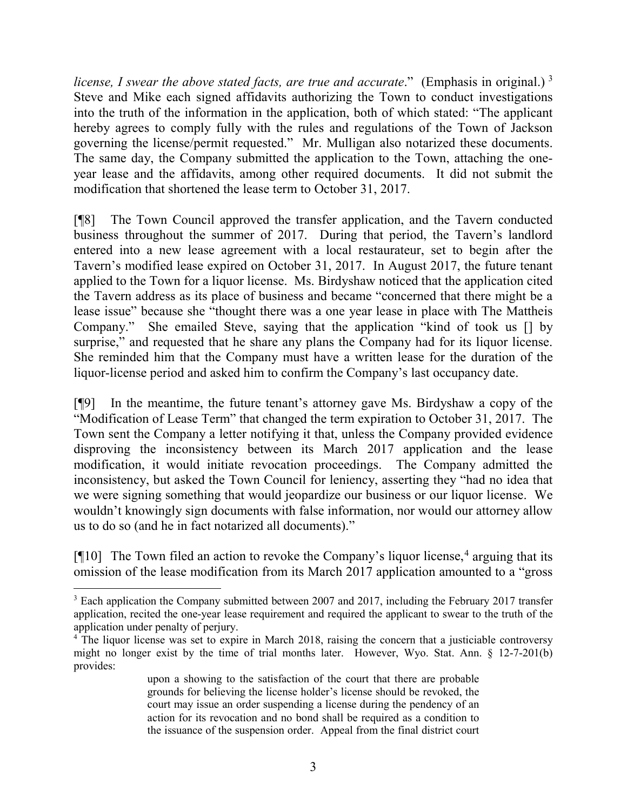*license, I swear the above stated facts, are true and accurate.*" (Emphasis in original.)<sup>[3](#page-3-0)</sup> Steve and Mike each signed affidavits authorizing the Town to conduct investigations into the truth of the information in the application, both of which stated: "The applicant hereby agrees to comply fully with the rules and regulations of the Town of Jackson governing the license/permit requested." Mr. Mulligan also notarized these documents. The same day, the Company submitted the application to the Town, attaching the oneyear lease and the affidavits, among other required documents. It did not submit the modification that shortened the lease term to October 31, 2017.

[¶8] The Town Council approved the transfer application, and the Tavern conducted business throughout the summer of 2017. During that period, the Tavern's landlord entered into a new lease agreement with a local restaurateur, set to begin after the Tavern's modified lease expired on October 31, 2017. In August 2017, the future tenant applied to the Town for a liquor license. Ms. Birdyshaw noticed that the application cited the Tavern address as its place of business and became "concerned that there might be a lease issue" because she "thought there was a one year lease in place with The Mattheis Company." She emailed Steve, saying that the application "kind of took us [] by surprise," and requested that he share any plans the Company had for its liquor license. She reminded him that the Company must have a written lease for the duration of the liquor-license period and asked him to confirm the Company's last occupancy date.

[¶9] In the meantime, the future tenant's attorney gave Ms. Birdyshaw a copy of the "Modification of Lease Term" that changed the term expiration to October 31, 2017. The Town sent the Company a letter notifying it that, unless the Company provided evidence disproving the inconsistency between its March 2017 application and the lease modification, it would initiate revocation proceedings. The Company admitted the inconsistency, but asked the Town Council for leniency, asserting they "had no idea that we were signing something that would jeopardize our business or our liquor license. We wouldn't knowingly sign documents with false information, nor would our attorney allow us to do so (and he in fact notarized all documents)."

 $\lceil \P 10 \rceil$  The Town filed an action to revoke the Company's liquor license,<sup>[4](#page-3-1)</sup> arguing that its omission of the lease modification from its March 2017 application amounted to a "gross

<span id="page-3-0"></span><sup>&</sup>lt;sup>3</sup> Each application the Company submitted between 2007 and 2017, including the February 2017 transfer application, recited the one-year lease requirement and required the applicant to swear to the truth of the application under penalty of perjury.

<span id="page-3-1"></span><sup>4</sup> The liquor license was set to expire in March 2018, raising the concern that a justiciable controversy might no longer exist by the time of trial months later. However, Wyo. Stat. Ann. § 12-7-201(b) provides:

upon a showing to the satisfaction of the court that there are probable grounds for believing the license holder's license should be revoked, the court may issue an order suspending a license during the pendency of an action for its revocation and no bond shall be required as a condition to the issuance of the suspension order. Appeal from the final district court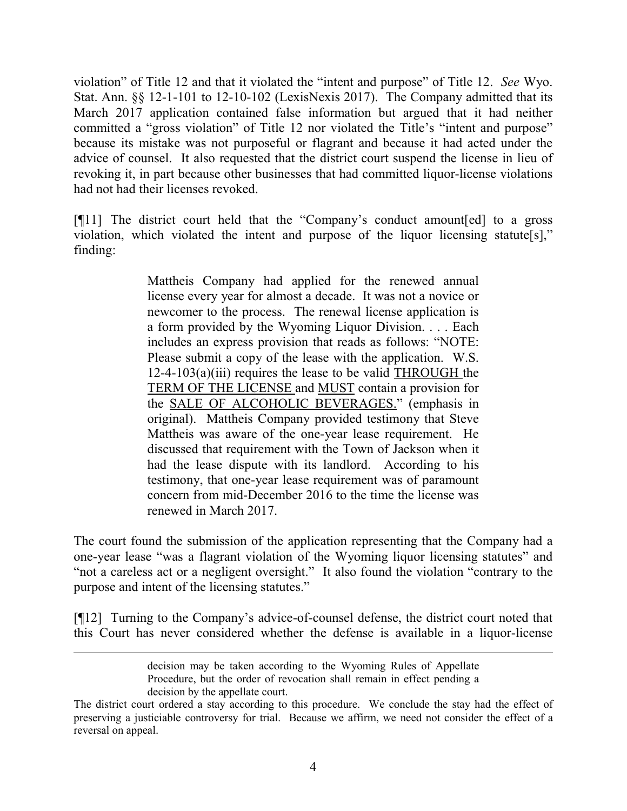violation" of Title 12 and that it violated the "intent and purpose" of Title 12. *See* Wyo. Stat. Ann. §§ 12-1-101 to 12-10-102 (LexisNexis 2017). The Company admitted that its March 2017 application contained false information but argued that it had neither committed a "gross violation" of Title 12 nor violated the Title's "intent and purpose" because its mistake was not purposeful or flagrant and because it had acted under the advice of counsel. It also requested that the district court suspend the license in lieu of revoking it, in part because other businesses that had committed liquor-license violations had not had their licenses revoked.

[¶11] The district court held that the "Company's conduct amount[ed] to a gross violation, which violated the intent and purpose of the liquor licensing statute[s]," finding:

> Mattheis Company had applied for the renewed annual license every year for almost a decade. It was not a novice or newcomer to the process. The renewal license application is a form provided by the Wyoming Liquor Division. . . . Each includes an express provision that reads as follows: "NOTE: Please submit a copy of the lease with the application. W.S.  $12-4-103(a)(iii)$  requires the lease to be valid THROUGH the TERM OF THE LICENSE and MUST contain a provision for the SALE OF ALCOHOLIC BEVERAGES." (emphasis in original). Mattheis Company provided testimony that Steve Mattheis was aware of the one-year lease requirement. He discussed that requirement with the Town of Jackson when it had the lease dispute with its landlord. According to his testimony, that one-year lease requirement was of paramount concern from mid-December 2016 to the time the license was renewed in March 2017.

The court found the submission of the application representing that the Company had a one-year lease "was a flagrant violation of the Wyoming liquor licensing statutes" and "not a careless act or a negligent oversight." It also found the violation "contrary to the purpose and intent of the licensing statutes."

[¶12] Turning to the Company's advice-of-counsel defense, the district court noted that this Court has never considered whether the defense is available in a liquor-license

 $\overline{a}$ 

decision may be taken according to the Wyoming Rules of Appellate Procedure, but the order of revocation shall remain in effect pending a decision by the appellate court.

The district court ordered a stay according to this procedure. We conclude the stay had the effect of preserving a justiciable controversy for trial. Because we affirm, we need not consider the effect of a reversal on appeal.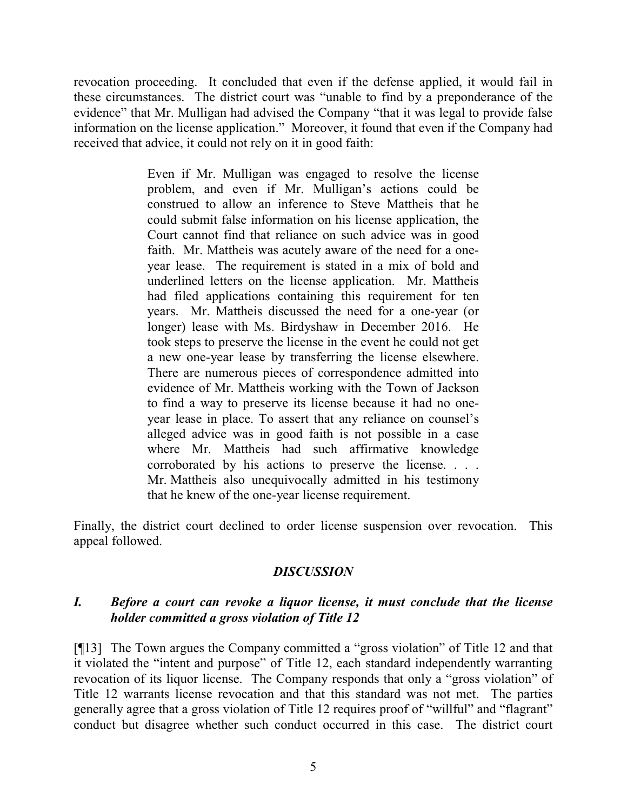revocation proceeding. It concluded that even if the defense applied, it would fail in these circumstances. The district court was "unable to find by a preponderance of the evidence" that Mr. Mulligan had advised the Company "that it was legal to provide false information on the license application." Moreover, it found that even if the Company had received that advice, it could not rely on it in good faith:

> Even if Mr. Mulligan was engaged to resolve the license problem, and even if Mr. Mulligan's actions could be construed to allow an inference to Steve Mattheis that he could submit false information on his license application, the Court cannot find that reliance on such advice was in good faith. Mr. Mattheis was acutely aware of the need for a oneyear lease. The requirement is stated in a mix of bold and underlined letters on the license application. Mr. Mattheis had filed applications containing this requirement for ten years. Mr. Mattheis discussed the need for a one-year (or longer) lease with Ms. Birdyshaw in December 2016. He took steps to preserve the license in the event he could not get a new one-year lease by transferring the license elsewhere. There are numerous pieces of correspondence admitted into evidence of Mr. Mattheis working with the Town of Jackson to find a way to preserve its license because it had no oneyear lease in place. To assert that any reliance on counsel's alleged advice was in good faith is not possible in a case where Mr. Mattheis had such affirmative knowledge corroborated by his actions to preserve the license. . . . Mr. Mattheis also unequivocally admitted in his testimony that he knew of the one-year license requirement.

Finally, the district court declined to order license suspension over revocation. This appeal followed.

# *DISCUSSION*

## *I. Before a court can revoke a liquor license, it must conclude that the license holder committed a gross violation of Title 12*

[¶13] The Town argues the Company committed a "gross violation" of Title 12 and that it violated the "intent and purpose" of Title 12, each standard independently warranting revocation of its liquor license. The Company responds that only a "gross violation" of Title 12 warrants license revocation and that this standard was not met. The parties generally agree that a gross violation of Title 12 requires proof of "willful" and "flagrant" conduct but disagree whether such conduct occurred in this case. The district court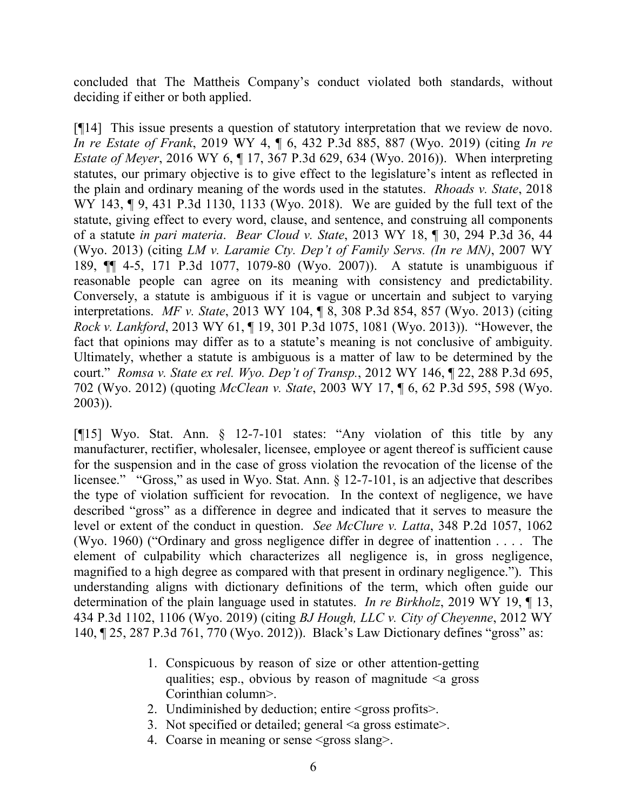concluded that The Mattheis Company's conduct violated both standards, without deciding if either or both applied.

[¶14] This issue presents a question of statutory interpretation that we review de novo. *In re Estate of Frank*, 2019 WY 4, ¶ 6, 432 P.3d 885, 887 (Wyo. 2019) (citing *In re Estate of Meyer*, 2016 WY 6, ¶ 17, 367 P.3d 629, 634 (Wyo. 2016)). When interpreting statutes, our primary objective is to give effect to the legislature's intent as reflected in the plain and ordinary meaning of the words used in the statutes. *Rhoads v. State*, 2018 WY 143, ¶ 9, 431 P.3d 1130, 1133 (Wyo. 2018). We are guided by the full text of the statute, giving effect to every word, clause, and sentence, and construing all components of a statute *in pari materia*. *Bear Cloud v. State*, 2013 WY 18, ¶ 30, 294 P.3d 36, 44 (Wyo. 2013) (citing *LM v. Laramie Cty. Dep't of Family Servs. (In re MN)*, 2007 WY 189, ¶¶ 4-5, 171 P.3d 1077, 1079-80 (Wyo. 2007)). A statute is unambiguous if reasonable people can agree on its meaning with consistency and predictability. Conversely, a statute is ambiguous if it is vague or uncertain and subject to varying interpretations. *MF v. State*, 2013 WY 104, ¶ 8, 308 P.3d 854, 857 (Wyo. 2013) (citing *Rock v. Lankford*, 2013 WY 61, ¶ 19, 301 P.3d 1075, 1081 (Wyo. 2013)). "However, the fact that opinions may differ as to a statute's meaning is not conclusive of ambiguity. Ultimately, whether a statute is ambiguous is a matter of law to be determined by the court." *Romsa v. State ex rel. Wyo. Dep't of Transp.*, 2012 WY 146, ¶ 22, 288 P.3d 695, 702 (Wyo. 2012) (quoting *McClean v. State*, 2003 WY 17, ¶ 6, 62 P.3d 595, 598 (Wyo. 2003)).

[¶15] Wyo. Stat. Ann. § 12-7-101 states: "Any violation of this title by any manufacturer, rectifier, wholesaler, licensee, employee or agent thereof is sufficient cause for the suspension and in the case of gross violation the revocation of the license of the licensee." "Gross," as used in Wyo. Stat. Ann. § 12-7-101, is an adjective that describes the type of violation sufficient for revocation. In the context of negligence, we have described "gross" as a difference in degree and indicated that it serves to measure the level or extent of the conduct in question. *See McClure v. Latta*, 348 P.2d 1057, 1062 (Wyo. 1960) ("Ordinary and gross negligence differ in degree of inattention . . . . The element of culpability which characterizes all negligence is, in gross negligence, magnified to a high degree as compared with that present in ordinary negligence."). This understanding aligns with dictionary definitions of the term, which often guide our determination of the plain language used in statutes. *In re Birkholz*, 2019 WY 19, ¶ 13, 434 P.3d 1102, 1106 (Wyo. 2019) (citing *BJ Hough, LLC v. City of Cheyenne*, 2012 WY 140, ¶ 25, 287 P.3d 761, 770 (Wyo. 2012)). Black's Law Dictionary defines "gross" as:

- 1. Conspicuous by reason of size or other attention-getting qualities; esp., obvious by reason of magnitude  $\leq a$  gross Corinthian column>.
- 2. Undiminished by deduction; entire <gross profits>.
- 3. Not specified or detailed; general <a gross estimate>.
- 4. Coarse in meaning or sense <gross slang>.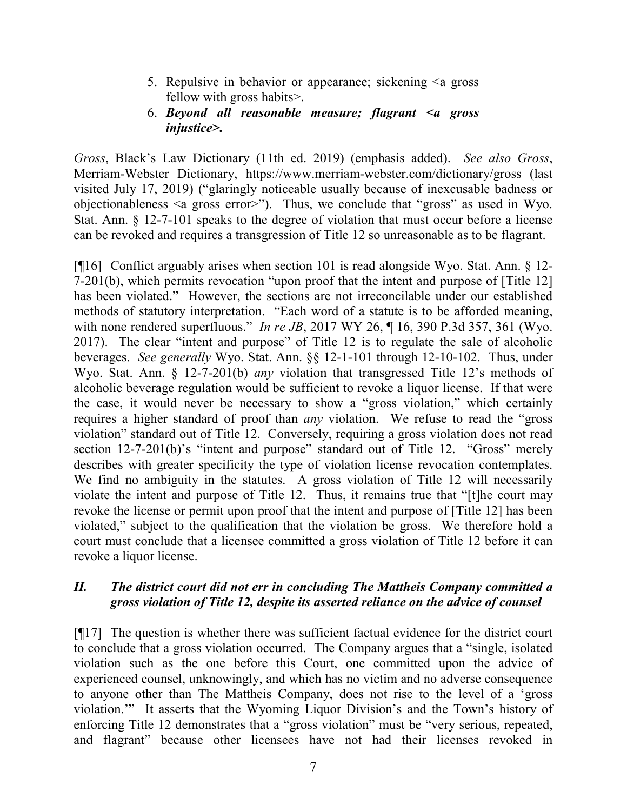- 5. Repulsive in behavior or appearance; sickening <a gross fellow with gross habits>.
- 6. *Beyond all reasonable measure; flagrant <a gross injustice>.*

*Gross*, Black's Law Dictionary (11th ed. 2019) (emphasis added). *See also Gross*, Merriam-Webster Dictionary, https://www.merriam-webster.com/dictionary/gross (last visited July 17, 2019) ("glaringly noticeable usually because of inexcusable badness or objectionableness <a gross error>"). Thus, we conclude that "gross" as used in Wyo. Stat. Ann. § 12-7-101 speaks to the degree of violation that must occur before a license can be revoked and requires a transgression of Title 12 so unreasonable as to be flagrant.

[¶16] Conflict arguably arises when section 101 is read alongside Wyo. Stat. Ann. § 12- 7-201(b), which permits revocation "upon proof that the intent and purpose of [Title 12] has been violated." However, the sections are not irreconcilable under our established methods of statutory interpretation. "Each word of a statute is to be afforded meaning, with none rendered superfluous." *In re JB*, 2017 WY 26, ¶ 16, 390 P.3d 357, 361 (Wyo. 2017). The clear "intent and purpose" of Title 12 is to regulate the sale of alcoholic beverages. *See generally* Wyo. Stat. Ann. §§ 12-1-101 through 12-10-102. Thus, under Wyo. Stat. Ann. § 12-7-201(b) *any* violation that transgressed Title 12's methods of alcoholic beverage regulation would be sufficient to revoke a liquor license. If that were the case, it would never be necessary to show a "gross violation," which certainly requires a higher standard of proof than *any* violation. We refuse to read the "gross violation" standard out of Title 12. Conversely, requiring a gross violation does not read section 12-7-201(b)'s "intent and purpose" standard out of Title 12. "Gross" merely describes with greater specificity the type of violation license revocation contemplates. We find no ambiguity in the statutes. A gross violation of Title 12 will necessarily violate the intent and purpose of Title 12. Thus, it remains true that "[t]he court may revoke the license or permit upon proof that the intent and purpose of [Title 12] has been violated," subject to the qualification that the violation be gross. We therefore hold a court must conclude that a licensee committed a gross violation of Title 12 before it can revoke a liquor license.

# *II. The district court did not err in concluding The Mattheis Company committed a gross violation of Title 12, despite its asserted reliance on the advice of counsel*

[¶17] The question is whether there was sufficient factual evidence for the district court to conclude that a gross violation occurred. The Company argues that a "single, isolated violation such as the one before this Court, one committed upon the advice of experienced counsel, unknowingly, and which has no victim and no adverse consequence to anyone other than The Mattheis Company, does not rise to the level of a 'gross violation.'" It asserts that the Wyoming Liquor Division's and the Town's history of enforcing Title 12 demonstrates that a "gross violation" must be "very serious, repeated, and flagrant" because other licensees have not had their licenses revoked in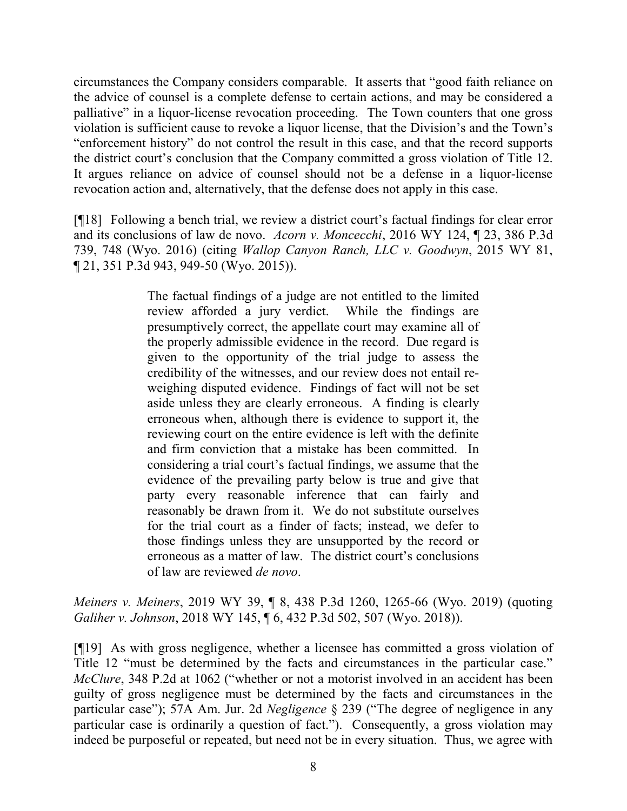circumstances the Company considers comparable. It asserts that "good faith reliance on the advice of counsel is a complete defense to certain actions, and may be considered a palliative" in a liquor-license revocation proceeding. The Town counters that one gross violation is sufficient cause to revoke a liquor license, that the Division's and the Town's "enforcement history" do not control the result in this case, and that the record supports the district court's conclusion that the Company committed a gross violation of Title 12. It argues reliance on advice of counsel should not be a defense in a liquor-license revocation action and, alternatively, that the defense does not apply in this case.

[¶18] Following a bench trial, we review a district court's factual findings for clear error and its conclusions of law de novo. *Acorn v. Moncecchi*, 2016 WY 124, ¶ 23, 386 P.3d 739, 748 (Wyo. 2016) (citing *Wallop Canyon Ranch, LLC v. Goodwyn*, 2015 WY 81, ¶ 21, 351 P.3d 943, 949-50 (Wyo. 2015)).

> The factual findings of a judge are not entitled to the limited review afforded a jury verdict. While the findings are presumptively correct, the appellate court may examine all of the properly admissible evidence in the record. Due regard is given to the opportunity of the trial judge to assess the credibility of the witnesses, and our review does not entail reweighing disputed evidence. Findings of fact will not be set aside unless they are clearly erroneous. A finding is clearly erroneous when, although there is evidence to support it, the reviewing court on the entire evidence is left with the definite and firm conviction that a mistake has been committed. In considering a trial court's factual findings, we assume that the evidence of the prevailing party below is true and give that party every reasonable inference that can fairly and reasonably be drawn from it. We do not substitute ourselves for the trial court as a finder of facts; instead, we defer to those findings unless they are unsupported by the record or erroneous as a matter of law. The district court's conclusions of law are reviewed *de novo*.

*Meiners v. Meiners*, 2019 WY 39, ¶ 8, 438 P.3d 1260, 1265-66 (Wyo. 2019) (quoting *Galiher v. Johnson*, 2018 WY 145, ¶ 6, 432 P.3d 502, 507 (Wyo. 2018)).

[¶19] As with gross negligence, whether a licensee has committed a gross violation of Title 12 "must be determined by the facts and circumstances in the particular case." *McClure*, 348 P.2d at 1062 ("whether or not a motorist involved in an accident has been guilty of gross negligence must be determined by the facts and circumstances in the particular case"); 57A Am. Jur. 2d *Negligence* § 239 ("The degree of negligence in any particular case is ordinarily a question of fact."). Consequently, a gross violation may indeed be purposeful or repeated, but need not be in every situation. Thus, we agree with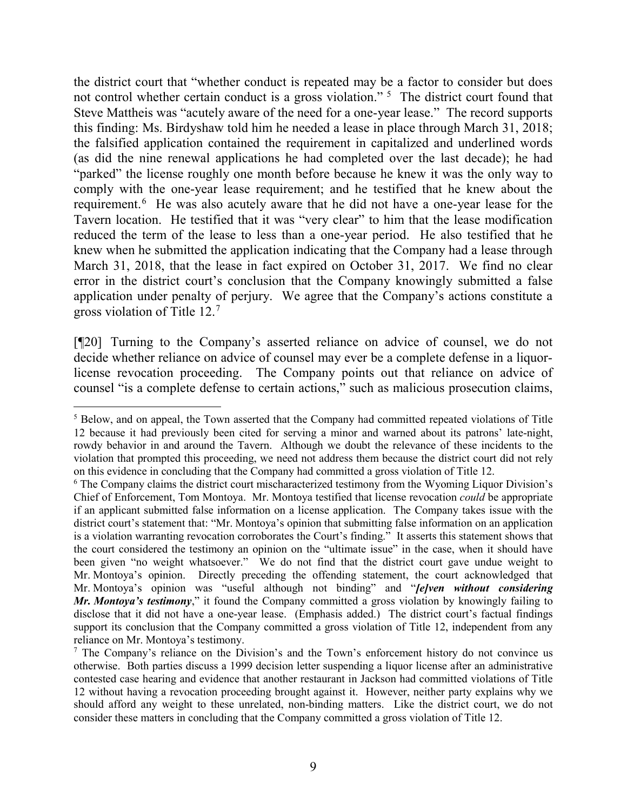the district court that "whether conduct is repeated may be a factor to consider but does not control whether certain conduct is a gross violation."<sup>[5](#page-9-0)</sup> The district court found that Steve Mattheis was "acutely aware of the need for a one-year lease." The record supports this finding: Ms. Birdyshaw told him he needed a lease in place through March 31, 2018; the falsified application contained the requirement in capitalized and underlined words (as did the nine renewal applications he had completed over the last decade); he had "parked" the license roughly one month before because he knew it was the only way to comply with the one-year lease requirement; and he testified that he knew about the requirement.<sup>[6](#page-9-1)</sup> He was also acutely aware that he did not have a one-year lease for the Tavern location. He testified that it was "very clear" to him that the lease modification reduced the term of the lease to less than a one-year period. He also testified that he knew when he submitted the application indicating that the Company had a lease through March 31, 2018, that the lease in fact expired on October 31, 2017. We find no clear error in the district court's conclusion that the Company knowingly submitted a false application under penalty of perjury. We agree that the Company's actions constitute a gross violation of Title 12.[7](#page-9-2)

[¶20] Turning to the Company's asserted reliance on advice of counsel, we do not decide whether reliance on advice of counsel may ever be a complete defense in a liquorlicense revocation proceeding. The Company points out that reliance on advice of counsel "is a complete defense to certain actions," such as malicious prosecution claims,

<span id="page-9-0"></span> <sup>5</sup> Below, and on appeal, the Town asserted that the Company had committed repeated violations of Title 12 because it had previously been cited for serving a minor and warned about its patrons' late-night, rowdy behavior in and around the Tavern. Although we doubt the relevance of these incidents to the violation that prompted this proceeding, we need not address them because the district court did not rely on this evidence in concluding that the Company had committed a gross violation of Title 12.

<span id="page-9-1"></span><sup>6</sup> The Company claims the district court mischaracterized testimony from the Wyoming Liquor Division's Chief of Enforcement, Tom Montoya. Mr. Montoya testified that license revocation *could* be appropriate if an applicant submitted false information on a license application. The Company takes issue with the district court's statement that: "Mr. Montoya's opinion that submitting false information on an application is a violation warranting revocation corroborates the Court's finding." It asserts this statement shows that the court considered the testimony an opinion on the "ultimate issue" in the case, when it should have been given "no weight whatsoever." We do not find that the district court gave undue weight to Mr. Montoya's opinion. Directly preceding the offending statement, the court acknowledged that Mr. Montoya's opinion was "useful although not binding" and "*[e]ven without considering Mr. Montoya's testimony*," it found the Company committed a gross violation by knowingly failing to disclose that it did not have a one-year lease. (Emphasis added.) The district court's factual findings support its conclusion that the Company committed a gross violation of Title 12, independent from any reliance on Mr. Montoya's testimony.

<span id="page-9-2"></span><sup>&</sup>lt;sup>7</sup> The Company's reliance on the Division's and the Town's enforcement history do not convince us otherwise. Both parties discuss a 1999 decision letter suspending a liquor license after an administrative contested case hearing and evidence that another restaurant in Jackson had committed violations of Title 12 without having a revocation proceeding brought against it. However, neither party explains why we should afford any weight to these unrelated, non-binding matters. Like the district court, we do not consider these matters in concluding that the Company committed a gross violation of Title 12.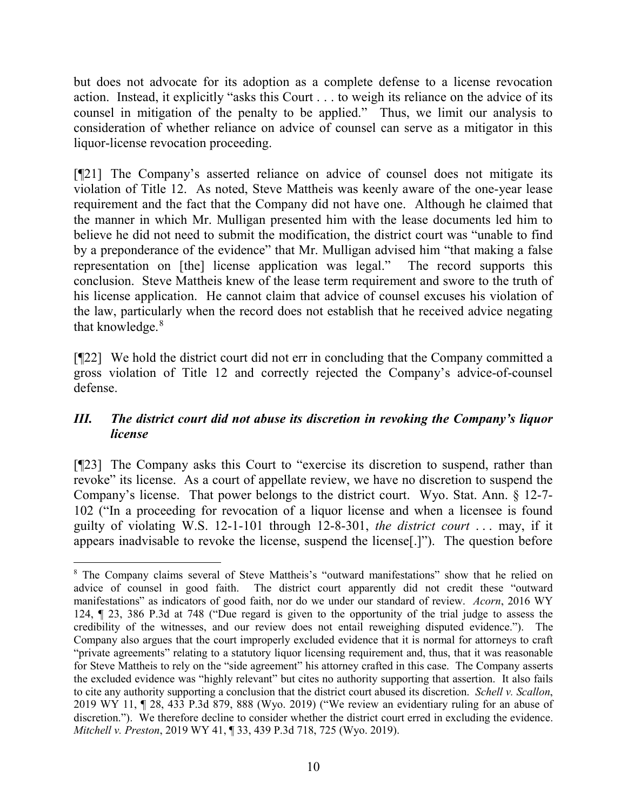but does not advocate for its adoption as a complete defense to a license revocation action. Instead, it explicitly "asks this Court . . . to weigh its reliance on the advice of its counsel in mitigation of the penalty to be applied." Thus, we limit our analysis to consideration of whether reliance on advice of counsel can serve as a mitigator in this liquor-license revocation proceeding.

[¶21] The Company's asserted reliance on advice of counsel does not mitigate its violation of Title 12. As noted, Steve Mattheis was keenly aware of the one-year lease requirement and the fact that the Company did not have one. Although he claimed that the manner in which Mr. Mulligan presented him with the lease documents led him to believe he did not need to submit the modification, the district court was "unable to find by a preponderance of the evidence" that Mr. Mulligan advised him "that making a false representation on [the] license application was legal." The record supports this conclusion. Steve Mattheis knew of the lease term requirement and swore to the truth of his license application. He cannot claim that advice of counsel excuses his violation of the law, particularly when the record does not establish that he received advice negating that knowledge.<sup>[8](#page-10-0)</sup>

[¶22] We hold the district court did not err in concluding that the Company committed a gross violation of Title 12 and correctly rejected the Company's advice-of-counsel defense.

# *III. The district court did not abuse its discretion in revoking the Company's liquor license*

[¶23] The Company asks this Court to "exercise its discretion to suspend, rather than revoke" its license. As a court of appellate review, we have no discretion to suspend the Company's license. That power belongs to the district court. Wyo. Stat. Ann. § 12-7- 102 ("In a proceeding for revocation of a liquor license and when a licensee is found guilty of violating W.S. 12-1-101 through 12-8-301, *the district court* . . . may, if it appears inadvisable to revoke the license, suspend the license[.]"). The question before

<span id="page-10-0"></span> <sup>8</sup> The Company claims several of Steve Mattheis's "outward manifestations" show that he relied on advice of counsel in good faith. The district court apparently did not credit these "outward manifestations" as indicators of good faith, nor do we under our standard of review. *Acorn*, 2016 WY 124, ¶ 23, 386 P.3d at 748 ("Due regard is given to the opportunity of the trial judge to assess the credibility of the witnesses, and our review does not entail reweighing disputed evidence."). The Company also argues that the court improperly excluded evidence that it is normal for attorneys to craft "private agreements" relating to a statutory liquor licensing requirement and, thus, that it was reasonable for Steve Mattheis to rely on the "side agreement" his attorney crafted in this case. The Company asserts the excluded evidence was "highly relevant" but cites no authority supporting that assertion. It also fails to cite any authority supporting a conclusion that the district court abused its discretion. *Schell v. Scallon*, 2019 WY 11, ¶ 28, 433 P.3d 879, 888 (Wyo. 2019) ("We review an evidentiary ruling for an abuse of discretion."). We therefore decline to consider whether the district court erred in excluding the evidence. *Mitchell v. Preston*, 2019 WY 41, ¶ 33, 439 P.3d 718, 725 (Wyo. 2019).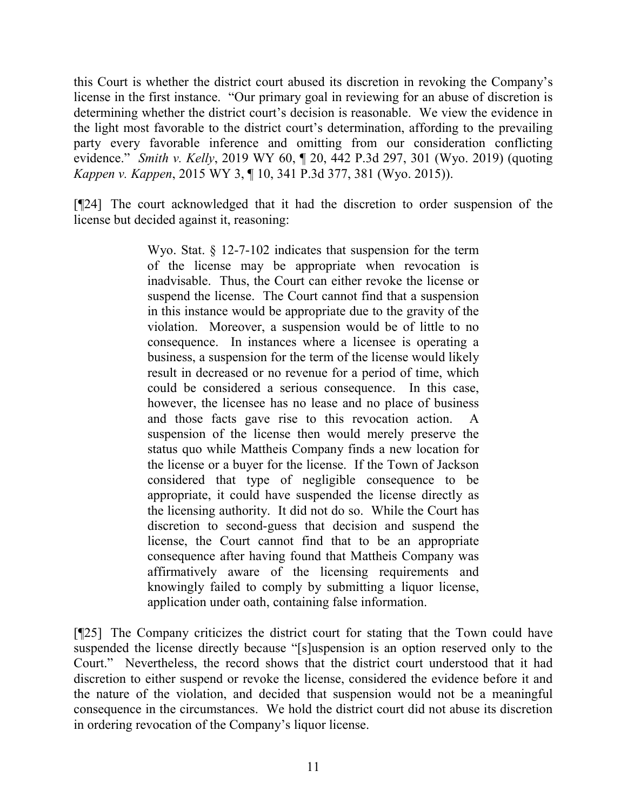this Court is whether the district court abused its discretion in revoking the Company's license in the first instance. "Our primary goal in reviewing for an abuse of discretion is determining whether the district court's decision is reasonable. We view the evidence in the light most favorable to the district court's determination, affording to the prevailing party every favorable inference and omitting from our consideration conflicting evidence." *Smith v. Kelly*, 2019 WY 60, ¶ 20, 442 P.3d 297, 301 (Wyo. 2019) (quoting *Kappen v. Kappen*, 2015 WY 3, ¶ 10, 341 P.3d 377, 381 (Wyo. 2015)).

[¶24] The court acknowledged that it had the discretion to order suspension of the license but decided against it, reasoning:

> Wyo. Stat. § 12-7-102 indicates that suspension for the term of the license may be appropriate when revocation is inadvisable. Thus, the Court can either revoke the license or suspend the license. The Court cannot find that a suspension in this instance would be appropriate due to the gravity of the violation. Moreover, a suspension would be of little to no consequence. In instances where a licensee is operating a business, a suspension for the term of the license would likely result in decreased or no revenue for a period of time, which could be considered a serious consequence. In this case, however, the licensee has no lease and no place of business and those facts gave rise to this revocation action. A suspension of the license then would merely preserve the status quo while Mattheis Company finds a new location for the license or a buyer for the license. If the Town of Jackson considered that type of negligible consequence to be appropriate, it could have suspended the license directly as the licensing authority. It did not do so. While the Court has discretion to second-guess that decision and suspend the license, the Court cannot find that to be an appropriate consequence after having found that Mattheis Company was affirmatively aware of the licensing requirements and knowingly failed to comply by submitting a liquor license, application under oath, containing false information.

[¶25] The Company criticizes the district court for stating that the Town could have suspended the license directly because "[s]uspension is an option reserved only to the Court." Nevertheless, the record shows that the district court understood that it had discretion to either suspend or revoke the license, considered the evidence before it and the nature of the violation, and decided that suspension would not be a meaningful consequence in the circumstances. We hold the district court did not abuse its discretion in ordering revocation of the Company's liquor license.